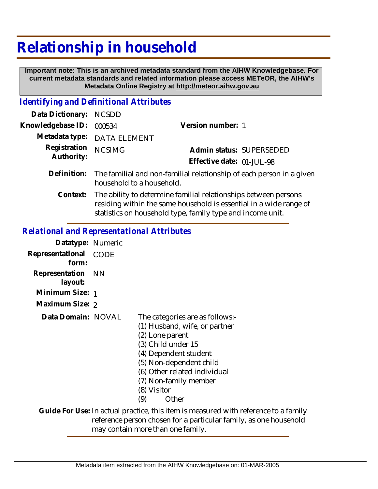## **Relationship in household**

 **Important note: This is an archived metadata standard from the AIHW Knowledgebase. For current metadata standards and related information please access METeOR, the AIHW's Metadata Online Registry at http://meteor.aihw.gov.au**

## *Identifying and Definitional Attributes*

| Data Dictionary:           | <b>NCSDD</b>                                                                                                                                                                                        |                           |  |
|----------------------------|-----------------------------------------------------------------------------------------------------------------------------------------------------------------------------------------------------|---------------------------|--|
| Knowledgebase ID:          | 000534                                                                                                                                                                                              | Version number: 1         |  |
| Metadata type:             | <b>DATA ELEMENT</b>                                                                                                                                                                                 |                           |  |
| Registration<br>Authority: | <b>NCSIMG</b>                                                                                                                                                                                       | Admin status: SUPERSEDED  |  |
|                            |                                                                                                                                                                                                     | Effective date: 01-JUL-98 |  |
| Definition:                | The familial and non-familial relationship of each person in a given<br>household to a household.                                                                                                   |                           |  |
| Context:                   | The ability to determine familial relationships between persons<br>residing within the same household is essential in a wide range of<br>statistics on household type, family type and income unit. |                           |  |

## *Relational and Representational Attributes*

| Datatype: Numeric         |      |                                                                                                                                                                                                                                                       |
|---------------------------|------|-------------------------------------------------------------------------------------------------------------------------------------------------------------------------------------------------------------------------------------------------------|
| Representational<br>form: | CODE |                                                                                                                                                                                                                                                       |
| Representation<br>layout: | - NN |                                                                                                                                                                                                                                                       |
| Minimum Size: 1           |      |                                                                                                                                                                                                                                                       |
| Maximum Size: 2           |      |                                                                                                                                                                                                                                                       |
| Data Domain: NOVAL        |      | The categories are as follows:-<br>(1) Husband, wife, or partner<br>(2) Lone parent<br>(3) Child under 15<br>(4) Dependent student<br>(5) Non-dependent child<br>(6) Other related individual<br>(7) Non-family member<br>(8) Visitor<br>Other<br>(9) |
|                           |      | Guide For Use: In actual practice, this item is measured with reference to a family                                                                                                                                                                   |
|                           |      | reference person chosen for a particular family, as one household<br>mau santain mara than ana family                                                                                                                                                 |

may contain more than one family.